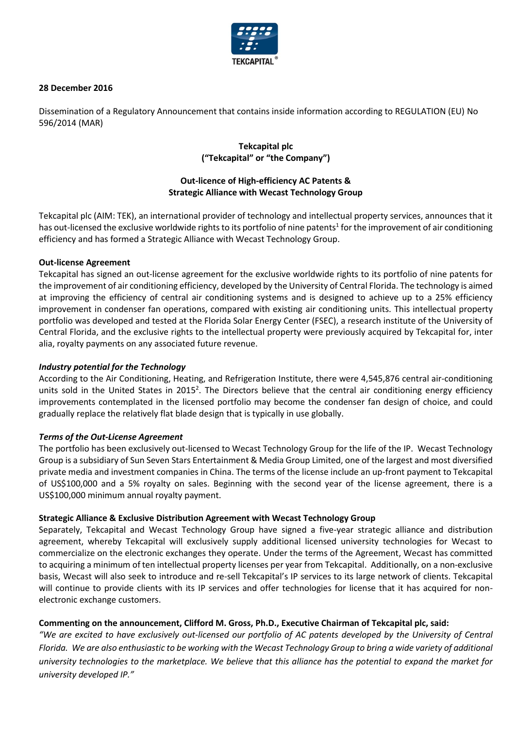

### **28 December 2016**

Dissemination of a Regulatory Announcement that contains inside information according to REGULATION (EU) No 596/2014 (MAR)

## **Tekcapital plc ("Tekcapital" or "the Company")**

# **Out-licence of High-efficiency AC Patents & Strategic Alliance with Wecast Technology Group**

Tekcapital plc (AIM: TEK), an international provider of technology and intellectual property services, announces that it has out-licensed the exclusive worldwide rights to its portfolio of nine patents<sup>1</sup> for the improvement of air conditioning efficiency and has formed a Strategic Alliance with Wecast Technology Group.

### **Out-license Agreement**

Tekcapital has signed an out-license agreement for the exclusive worldwide rights to its portfolio of nine patents for the improvement of air conditioning efficiency, developed by the University of Central Florida. The technology is aimed at improving the efficiency of central air conditioning systems and is designed to achieve up to a 25% efficiency improvement in condenser fan operations, compared with existing air conditioning units. This intellectual property portfolio was developed and tested at the Florida Solar Energy Center (FSEC), a research institute of the University of Central Florida, and the exclusive rights to the intellectual property were previously acquired by Tekcapital for, inter alia, royalty payments on any associated future revenue.

### *Industry potential for the Technology*

According to the Air Conditioning, Heating, and Refrigeration Institute, there were 4,545,876 central air-conditioning units sold in the United States in 2015<sup>2</sup>. The Directors believe that the central air conditioning energy efficiency improvements contemplated in the licensed portfolio may become the condenser fan design of choice, and could gradually replace the relatively flat blade design that is typically in use globally.

# *Terms of the Out-License Agreement*

The portfolio has been exclusively out-licensed to Wecast Technology Group for the life of the IP. Wecast Technology Group is a subsidiary of Sun Seven Stars Entertainment & Media Group Limited, one of the largest and most diversified private media and investment companies in China. The terms of the license include an up-front payment to Tekcapital of US\$100,000 and a 5% royalty on sales. Beginning with the second year of the license agreement, there is a US\$100,000 minimum annual royalty payment.

### **Strategic Alliance & Exclusive Distribution Agreement with Wecast Technology Group**

Separately, Tekcapital and Wecast Technology Group have signed a five-year strategic alliance and distribution agreement, whereby Tekcapital will exclusively supply additional licensed university technologies for Wecast to commercialize on the electronic exchanges they operate. Under the terms of the Agreement, Wecast has committed to acquiring a minimum of ten intellectual property licenses per year from Tekcapital. Additionally, on a non-exclusive basis, Wecast will also seek to introduce and re-sell Tekcapital's IP services to its large network of clients. Tekcapital will continue to provide clients with its IP services and offer technologies for license that it has acquired for nonelectronic exchange customers.

# **Commenting on the announcement, Clifford M. Gross, Ph.D., Executive Chairman of Tekcapital plc, said:**

*"We are excited to have exclusively out-licensed our portfolio of AC patents developed by the University of Central Florida. We are also enthusiastic to be working with the Wecast Technology Group to bring a wide variety of additional university technologies to the marketplace. We believe that this alliance has the potential to expand the market for university developed IP."*